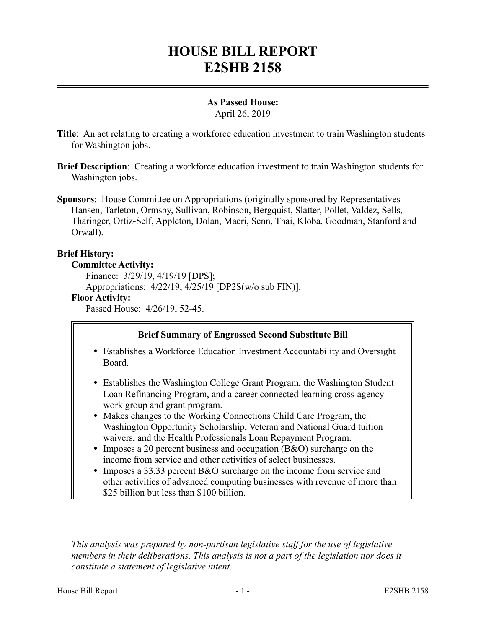# **HOUSE BILL REPORT E2SHB 2158**

# **As Passed House:**

April 26, 2019

- **Title**: An act relating to creating a workforce education investment to train Washington students for Washington jobs.
- **Brief Description**: Creating a workforce education investment to train Washington students for Washington jobs.
- **Sponsors**: House Committee on Appropriations (originally sponsored by Representatives Hansen, Tarleton, Ormsby, Sullivan, Robinson, Bergquist, Slatter, Pollet, Valdez, Sells, Tharinger, Ortiz-Self, Appleton, Dolan, Macri, Senn, Thai, Kloba, Goodman, Stanford and Orwall).

## **Brief History:**

#### **Committee Activity:**

Finance: 3/29/19, 4/19/19 [DPS];

Appropriations: 4/22/19, 4/25/19 [DP2S(w/o sub FIN)].

## **Floor Activity:**

Passed House: 4/26/19, 52-45.

# **Brief Summary of Engrossed Second Substitute Bill**

- Establishes a Workforce Education Investment Accountability and Oversight Board.
- Establishes the Washington College Grant Program, the Washington Student Loan Refinancing Program, and a career connected learning cross-agency work group and grant program.
- Makes changes to the Working Connections Child Care Program, the Washington Opportunity Scholarship, Veteran and National Guard tuition waivers, and the Health Professionals Loan Repayment Program.
- Imposes a 20 percent business and occupation (B&O) surcharge on the income from service and other activities of select businesses.
- Imposes a 33.33 percent B&O surcharge on the income from service and other activities of advanced computing businesses with revenue of more than \$25 billion but less than \$100 billion.

––––––––––––––––––––––

*This analysis was prepared by non-partisan legislative staff for the use of legislative members in their deliberations. This analysis is not a part of the legislation nor does it constitute a statement of legislative intent.*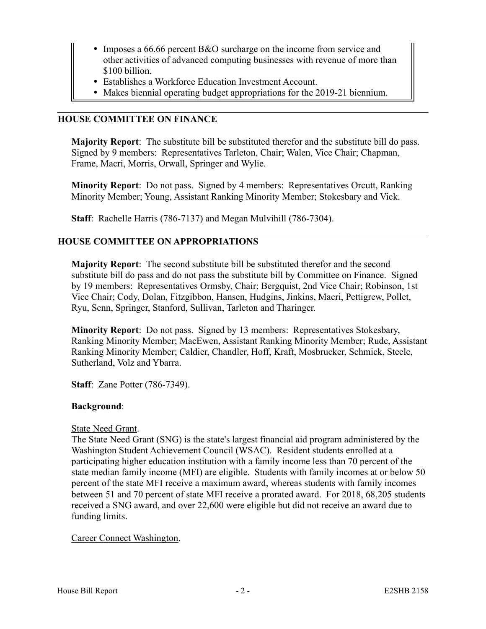- Imposes a 66.66 percent B&O surcharge on the income from service and other activities of advanced computing businesses with revenue of more than \$100 billion.
- Establishes a Workforce Education Investment Account.
- Makes biennial operating budget appropriations for the 2019-21 biennium.

# **HOUSE COMMITTEE ON FINANCE**

**Majority Report**: The substitute bill be substituted therefor and the substitute bill do pass. Signed by 9 members: Representatives Tarleton, Chair; Walen, Vice Chair; Chapman, Frame, Macri, Morris, Orwall, Springer and Wylie.

**Minority Report**: Do not pass. Signed by 4 members: Representatives Orcutt, Ranking Minority Member; Young, Assistant Ranking Minority Member; Stokesbary and Vick.

**Staff**: Rachelle Harris (786-7137) and Megan Mulvihill (786-7304).

## **HOUSE COMMITTEE ON APPROPRIATIONS**

**Majority Report**: The second substitute bill be substituted therefor and the second substitute bill do pass and do not pass the substitute bill by Committee on Finance. Signed by 19 members: Representatives Ormsby, Chair; Bergquist, 2nd Vice Chair; Robinson, 1st Vice Chair; Cody, Dolan, Fitzgibbon, Hansen, Hudgins, Jinkins, Macri, Pettigrew, Pollet, Ryu, Senn, Springer, Stanford, Sullivan, Tarleton and Tharinger.

**Minority Report**: Do not pass. Signed by 13 members: Representatives Stokesbary, Ranking Minority Member; MacEwen, Assistant Ranking Minority Member; Rude, Assistant Ranking Minority Member; Caldier, Chandler, Hoff, Kraft, Mosbrucker, Schmick, Steele, Sutherland, Volz and Ybarra.

**Staff**: Zane Potter (786-7349).

## **Background**:

#### State Need Grant.

The State Need Grant (SNG) is the state's largest financial aid program administered by the Washington Student Achievement Council (WSAC). Resident students enrolled at a participating higher education institution with a family income less than 70 percent of the state median family income (MFI) are eligible. Students with family incomes at or below 50 percent of the state MFI receive a maximum award, whereas students with family incomes between 51 and 70 percent of state MFI receive a prorated award. For 2018, 68,205 students received a SNG award, and over 22,600 were eligible but did not receive an award due to funding limits.

## Career Connect Washington.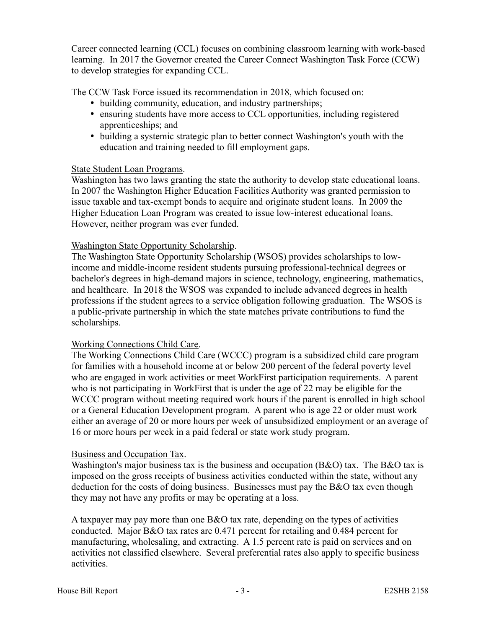Career connected learning (CCL) focuses on combining classroom learning with work-based learning. In 2017 the Governor created the Career Connect Washington Task Force (CCW) to develop strategies for expanding CCL.

The CCW Task Force issued its recommendation in 2018, which focused on:

- building community, education, and industry partnerships;
- ensuring students have more access to CCL opportunities, including registered apprenticeships; and
- building a systemic strategic plan to better connect Washington's youth with the education and training needed to fill employment gaps.

## State Student Loan Programs.

Washington has two laws granting the state the authority to develop state educational loans. In 2007 the Washington Higher Education Facilities Authority was granted permission to issue taxable and tax-exempt bonds to acquire and originate student loans. In 2009 the Higher Education Loan Program was created to issue low-interest educational loans. However, neither program was ever funded.

## Washington State Opportunity Scholarship.

The Washington State Opportunity Scholarship (WSOS) provides scholarships to lowincome and middle-income resident students pursuing professional-technical degrees or bachelor's degrees in high-demand majors in science, technology, engineering, mathematics, and healthcare. In 2018 the WSOS was expanded to include advanced degrees in health professions if the student agrees to a service obligation following graduation. The WSOS is a public-private partnership in which the state matches private contributions to fund the scholarships.

## Working Connections Child Care.

The Working Connections Child Care (WCCC) program is a subsidized child care program for families with a household income at or below 200 percent of the federal poverty level who are engaged in work activities or meet WorkFirst participation requirements. A parent who is not participating in WorkFirst that is under the age of 22 may be eligible for the WCCC program without meeting required work hours if the parent is enrolled in high school or a General Education Development program. A parent who is age 22 or older must work either an average of 20 or more hours per week of unsubsidized employment or an average of 16 or more hours per week in a paid federal or state work study program.

## Business and Occupation Tax.

Washington's major business tax is the business and occupation  $(B&0)$  tax. The B&O tax is imposed on the gross receipts of business activities conducted within the state, without any deduction for the costs of doing business. Businesses must pay the B&O tax even though they may not have any profits or may be operating at a loss.

A taxpayer may pay more than one  $B&O$  tax rate, depending on the types of activities conducted. Major B&O tax rates are 0.471 percent for retailing and 0.484 percent for manufacturing, wholesaling, and extracting. A 1.5 percent rate is paid on services and on activities not classified elsewhere. Several preferential rates also apply to specific business activities.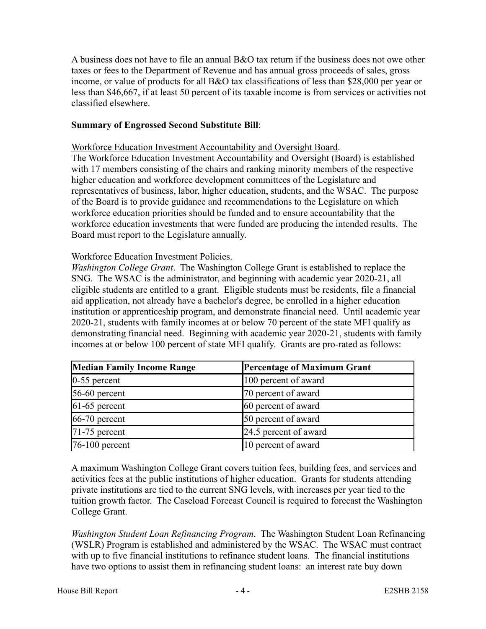A business does not have to file an annual B&O tax return if the business does not owe other taxes or fees to the Department of Revenue and has annual gross proceeds of sales, gross income, or value of products for all B&O tax classifications of less than \$28,000 per year or less than \$46,667, if at least 50 percent of its taxable income is from services or activities not classified elsewhere.

## **Summary of Engrossed Second Substitute Bill**:

Workforce Education Investment Accountability and Oversight Board.

The Workforce Education Investment Accountability and Oversight (Board) is established with 17 members consisting of the chairs and ranking minority members of the respective higher education and workforce development committees of the Legislature and representatives of business, labor, higher education, students, and the WSAC. The purpose of the Board is to provide guidance and recommendations to the Legislature on which workforce education priorities should be funded and to ensure accountability that the workforce education investments that were funded are producing the intended results. The Board must report to the Legislature annually.

#### Workforce Education Investment Policies.

*Washington College Grant*. The Washington College Grant is established to replace the SNG. The WSAC is the administrator, and beginning with academic year 2020-21, all eligible students are entitled to a grant. Eligible students must be residents, file a financial aid application, not already have a bachelor's degree, be enrolled in a higher education institution or apprenticeship program, and demonstrate financial need. Until academic year 2020-21, students with family incomes at or below 70 percent of the state MFI qualify as demonstrating financial need. Beginning with academic year 2020-21, students with family incomes at or below 100 percent of state MFI qualify. Grants are pro-rated as follows:

| <b>Median Family Income Range</b> | <b>Percentage of Maximum Grant</b> |
|-----------------------------------|------------------------------------|
| $0-55$ percent                    | 100 percent of award               |
| $56-60$ percent                   | 70 percent of award                |
| $61-65$ percent                   | 60 percent of award                |
| $66-70$ percent                   | 50 percent of award                |
| $71-75$ percent                   | 24.5 percent of award              |
| $76-100$ percent                  | 10 percent of award                |

A maximum Washington College Grant covers tuition fees, building fees, and services and activities fees at the public institutions of higher education. Grants for students attending private institutions are tied to the current SNG levels, with increases per year tied to the tuition growth factor. The Caseload Forecast Council is required to forecast the Washington College Grant.

*Washington Student Loan Refinancing Program*. The Washington Student Loan Refinancing (WSLR) Program is established and administered by the WSAC. The WSAC must contract with up to five financial institutions to refinance student loans. The financial institutions have two options to assist them in refinancing student loans: an interest rate buy down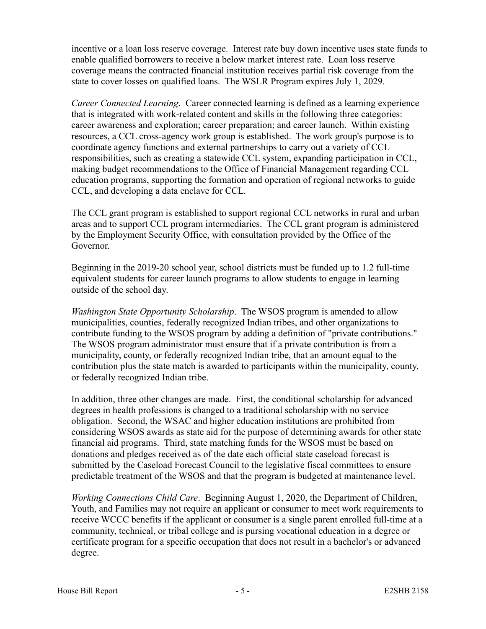incentive or a loan loss reserve coverage. Interest rate buy down incentive uses state funds to enable qualified borrowers to receive a below market interest rate. Loan loss reserve coverage means the contracted financial institution receives partial risk coverage from the state to cover losses on qualified loans. The WSLR Program expires July 1, 2029.

*Career Connected Learning*. Career connected learning is defined as a learning experience that is integrated with work-related content and skills in the following three categories: career awareness and exploration; career preparation; and career launch. Within existing resources, a CCL cross-agency work group is established. The work group's purpose is to coordinate agency functions and external partnerships to carry out a variety of CCL responsibilities, such as creating a statewide CCL system, expanding participation in CCL, making budget recommendations to the Office of Financial Management regarding CCL education programs, supporting the formation and operation of regional networks to guide CCL, and developing a data enclave for CCL.

The CCL grant program is established to support regional CCL networks in rural and urban areas and to support CCL program intermediaries. The CCL grant program is administered by the Employment Security Office, with consultation provided by the Office of the Governor.

Beginning in the 2019-20 school year, school districts must be funded up to 1.2 full-time equivalent students for career launch programs to allow students to engage in learning outside of the school day.

*Washington State Opportunity Scholarship*. The WSOS program is amended to allow municipalities, counties, federally recognized Indian tribes, and other organizations to contribute funding to the WSOS program by adding a definition of "private contributions." The WSOS program administrator must ensure that if a private contribution is from a municipality, county, or federally recognized Indian tribe, that an amount equal to the contribution plus the state match is awarded to participants within the municipality, county, or federally recognized Indian tribe.

In addition, three other changes are made. First, the conditional scholarship for advanced degrees in health professions is changed to a traditional scholarship with no service obligation. Second, the WSAC and higher education institutions are prohibited from considering WSOS awards as state aid for the purpose of determining awards for other state financial aid programs. Third, state matching funds for the WSOS must be based on donations and pledges received as of the date each official state caseload forecast is submitted by the Caseload Forecast Council to the legislative fiscal committees to ensure predictable treatment of the WSOS and that the program is budgeted at maintenance level.

*Working Connections Child Care*. Beginning August 1, 2020, the Department of Children, Youth, and Families may not require an applicant or consumer to meet work requirements to receive WCCC benefits if the applicant or consumer is a single parent enrolled full-time at a community, technical, or tribal college and is pursing vocational education in a degree or certificate program for a specific occupation that does not result in a bachelor's or advanced degree.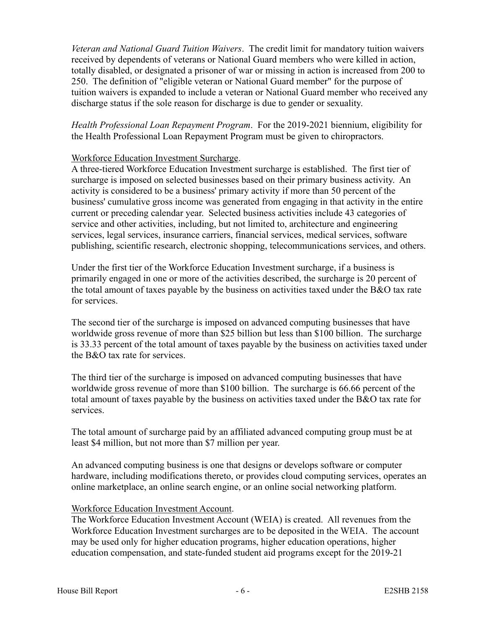*Veteran and National Guard Tuition Waivers*. The credit limit for mandatory tuition waivers received by dependents of veterans or National Guard members who were killed in action, totally disabled, or designated a prisoner of war or missing in action is increased from 200 to 250. The definition of "eligible veteran or National Guard member" for the purpose of tuition waivers is expanded to include a veteran or National Guard member who received any discharge status if the sole reason for discharge is due to gender or sexuality.

*Health Professional Loan Repayment Program*. For the 2019-2021 biennium, eligibility for the Health Professional Loan Repayment Program must be given to chiropractors.

## Workforce Education Investment Surcharge.

A three-tiered Workforce Education Investment surcharge is established. The first tier of surcharge is imposed on selected businesses based on their primary business activity. An activity is considered to be a business' primary activity if more than 50 percent of the business' cumulative gross income was generated from engaging in that activity in the entire current or preceding calendar year. Selected business activities include 43 categories of service and other activities, including, but not limited to, architecture and engineering services, legal services, insurance carriers, financial services, medical services, software publishing, scientific research, electronic shopping, telecommunications services, and others.

Under the first tier of the Workforce Education Investment surcharge, if a business is primarily engaged in one or more of the activities described, the surcharge is 20 percent of the total amount of taxes payable by the business on activities taxed under the B&O tax rate for services.

The second tier of the surcharge is imposed on advanced computing businesses that have worldwide gross revenue of more than \$25 billion but less than \$100 billion. The surcharge is 33.33 percent of the total amount of taxes payable by the business on activities taxed under the B&O tax rate for services.

The third tier of the surcharge is imposed on advanced computing businesses that have worldwide gross revenue of more than \$100 billion. The surcharge is 66.66 percent of the total amount of taxes payable by the business on activities taxed under the B&O tax rate for services.

The total amount of surcharge paid by an affiliated advanced computing group must be at least \$4 million, but not more than \$7 million per year.

An advanced computing business is one that designs or develops software or computer hardware, including modifications thereto, or provides cloud computing services, operates an online marketplace, an online search engine, or an online social networking platform.

# Workforce Education Investment Account.

The Workforce Education Investment Account (WEIA) is created. All revenues from the Workforce Education Investment surcharges are to be deposited in the WEIA. The account may be used only for higher education programs, higher education operations, higher education compensation, and state-funded student aid programs except for the 2019-21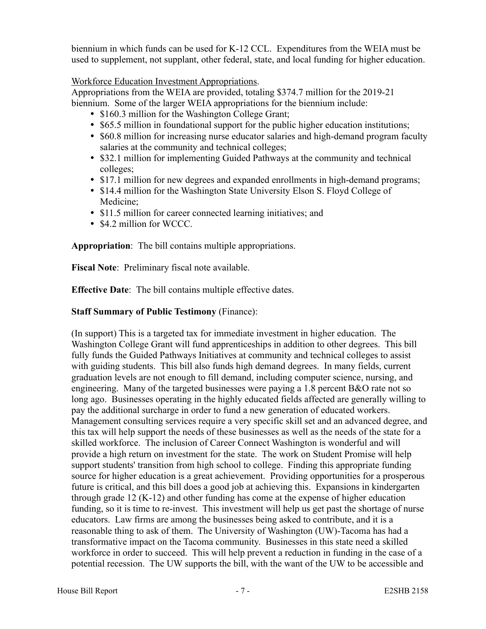biennium in which funds can be used for K-12 CCL. Expenditures from the WEIA must be used to supplement, not supplant, other federal, state, and local funding for higher education.

Workforce Education Investment Appropriations.

Appropriations from the WEIA are provided, totaling \$374.7 million for the 2019-21 biennium. Some of the larger WEIA appropriations for the biennium include:

- \$160.3 million for the Washington College Grant;
- \$65.5 million in foundational support for the public higher education institutions;
- \$60.8 million for increasing nurse educator salaries and high-demand program faculty salaries at the community and technical colleges;
- \$32.1 million for implementing Guided Pathways at the community and technical colleges;
- \$17.1 million for new degrees and expanded enrollments in high-demand programs;
- \$14.4 million for the Washington State University Elson S. Floyd College of Medicine;
- \$11.5 million for career connected learning initiatives; and
- \$4.2 million for WCCC.

**Appropriation**: The bill contains multiple appropriations.

**Fiscal Note**: Preliminary fiscal note available.

**Effective Date**: The bill contains multiple effective dates.

# **Staff Summary of Public Testimony** (Finance):

(In support) This is a targeted tax for immediate investment in higher education. The Washington College Grant will fund apprenticeships in addition to other degrees. This bill fully funds the Guided Pathways Initiatives at community and technical colleges to assist with guiding students. This bill also funds high demand degrees. In many fields, current graduation levels are not enough to fill demand, including computer science, nursing, and engineering. Many of the targeted businesses were paying a 1.8 percent B&O rate not so long ago. Businesses operating in the highly educated fields affected are generally willing to pay the additional surcharge in order to fund a new generation of educated workers. Management consulting services require a very specific skill set and an advanced degree, and this tax will help support the needs of these businesses as well as the needs of the state for a skilled workforce. The inclusion of Career Connect Washington is wonderful and will provide a high return on investment for the state. The work on Student Promise will help support students' transition from high school to college. Finding this appropriate funding source for higher education is a great achievement. Providing opportunities for a prosperous future is critical, and this bill does a good job at achieving this. Expansions in kindergarten through grade 12 (K-12) and other funding has come at the expense of higher education funding, so it is time to re-invest. This investment will help us get past the shortage of nurse educators. Law firms are among the businesses being asked to contribute, and it is a reasonable thing to ask of them. The University of Washington (UW)-Tacoma has had a transformative impact on the Tacoma community. Businesses in this state need a skilled workforce in order to succeed. This will help prevent a reduction in funding in the case of a potential recession. The UW supports the bill, with the want of the UW to be accessible and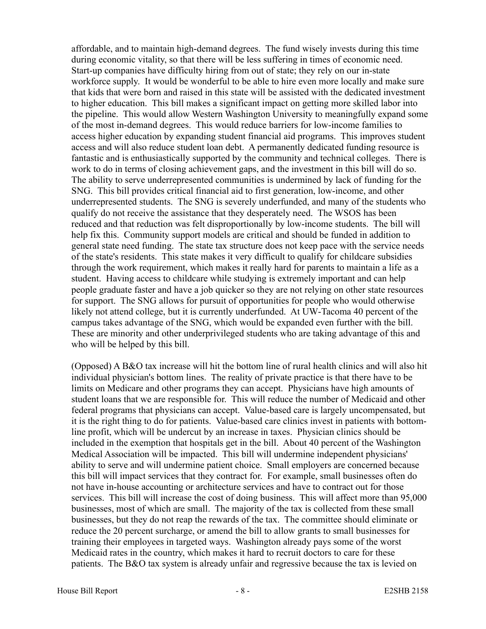affordable, and to maintain high-demand degrees. The fund wisely invests during this time during economic vitality, so that there will be less suffering in times of economic need. Start-up companies have difficulty hiring from out of state; they rely on our in-state workforce supply. It would be wonderful to be able to hire even more locally and make sure that kids that were born and raised in this state will be assisted with the dedicated investment to higher education. This bill makes a significant impact on getting more skilled labor into the pipeline. This would allow Western Washington University to meaningfully expand some of the most in-demand degrees. This would reduce barriers for low-income families to access higher education by expanding student financial aid programs. This improves student access and will also reduce student loan debt. A permanently dedicated funding resource is fantastic and is enthusiastically supported by the community and technical colleges. There is work to do in terms of closing achievement gaps, and the investment in this bill will do so. The ability to serve underrepresented communities is undermined by lack of funding for the SNG. This bill provides critical financial aid to first generation, low-income, and other underrepresented students. The SNG is severely underfunded, and many of the students who qualify do not receive the assistance that they desperately need. The WSOS has been reduced and that reduction was felt disproportionally by low-income students. The bill will help fix this. Community support models are critical and should be funded in addition to general state need funding. The state tax structure does not keep pace with the service needs of the state's residents. This state makes it very difficult to qualify for childcare subsidies through the work requirement, which makes it really hard for parents to maintain a life as a student. Having access to childcare while studying is extremely important and can help people graduate faster and have a job quicker so they are not relying on other state resources for support. The SNG allows for pursuit of opportunities for people who would otherwise likely not attend college, but it is currently underfunded. At UW-Tacoma 40 percent of the campus takes advantage of the SNG, which would be expanded even further with the bill. These are minority and other underprivileged students who are taking advantage of this and who will be helped by this bill.

(Opposed) A B&O tax increase will hit the bottom line of rural health clinics and will also hit individual physician's bottom lines. The reality of private practice is that there have to be limits on Medicare and other programs they can accept. Physicians have high amounts of student loans that we are responsible for. This will reduce the number of Medicaid and other federal programs that physicians can accept. Value-based care is largely uncompensated, but it is the right thing to do for patients. Value-based care clinics invest in patients with bottomline profit, which will be undercut by an increase in taxes. Physician clinics should be included in the exemption that hospitals get in the bill. About 40 percent of the Washington Medical Association will be impacted. This bill will undermine independent physicians' ability to serve and will undermine patient choice. Small employers are concerned because this bill will impact services that they contract for. For example, small businesses often do not have in-house accounting or architecture services and have to contract out for those services. This bill will increase the cost of doing business. This will affect more than 95,000 businesses, most of which are small. The majority of the tax is collected from these small businesses, but they do not reap the rewards of the tax. The committee should eliminate or reduce the 20 percent surcharge, or amend the bill to allow grants to small businesses for training their employees in targeted ways. Washington already pays some of the worst Medicaid rates in the country, which makes it hard to recruit doctors to care for these patients. The B&O tax system is already unfair and regressive because the tax is levied on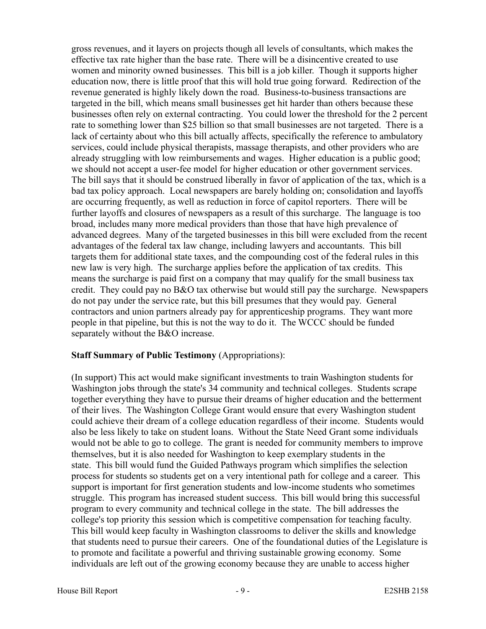gross revenues, and it layers on projects though all levels of consultants, which makes the effective tax rate higher than the base rate. There will be a disincentive created to use women and minority owned businesses. This bill is a job killer. Though it supports higher education now, there is little proof that this will hold true going forward. Redirection of the revenue generated is highly likely down the road. Business-to-business transactions are targeted in the bill, which means small businesses get hit harder than others because these businesses often rely on external contracting. You could lower the threshold for the 2 percent rate to something lower than \$25 billion so that small businesses are not targeted. There is a lack of certainty about who this bill actually affects, specifically the reference to ambulatory services, could include physical therapists, massage therapists, and other providers who are already struggling with low reimbursements and wages. Higher education is a public good; we should not accept a user-fee model for higher education or other government services. The bill says that it should be construed liberally in favor of application of the tax, which is a bad tax policy approach. Local newspapers are barely holding on; consolidation and layoffs are occurring frequently, as well as reduction in force of capitol reporters. There will be further layoffs and closures of newspapers as a result of this surcharge. The language is too broad, includes many more medical providers than those that have high prevalence of advanced degrees. Many of the targeted businesses in this bill were excluded from the recent advantages of the federal tax law change, including lawyers and accountants. This bill targets them for additional state taxes, and the compounding cost of the federal rules in this new law is very high. The surcharge applies before the application of tax credits. This means the surcharge is paid first on a company that may qualify for the small business tax credit. They could pay no B&O tax otherwise but would still pay the surcharge. Newspapers do not pay under the service rate, but this bill presumes that they would pay. General contractors and union partners already pay for apprenticeship programs. They want more people in that pipeline, but this is not the way to do it. The WCCC should be funded separately without the B&O increase.

## **Staff Summary of Public Testimony** (Appropriations):

(In support) This act would make significant investments to train Washington students for Washington jobs through the state's 34 community and technical colleges. Students scrape together everything they have to pursue their dreams of higher education and the betterment of their lives. The Washington College Grant would ensure that every Washington student could achieve their dream of a college education regardless of their income. Students would also be less likely to take on student loans. Without the State Need Grant some individuals would not be able to go to college. The grant is needed for community members to improve themselves, but it is also needed for Washington to keep exemplary students in the state. This bill would fund the Guided Pathways program which simplifies the selection process for students so students get on a very intentional path for college and a career. This support is important for first generation students and low-income students who sometimes struggle. This program has increased student success. This bill would bring this successful program to every community and technical college in the state. The bill addresses the college's top priority this session which is competitive compensation for teaching faculty. This bill would keep faculty in Washington classrooms to deliver the skills and knowledge that students need to pursue their careers. One of the foundational duties of the Legislature is to promote and facilitate a powerful and thriving sustainable growing economy. Some individuals are left out of the growing economy because they are unable to access higher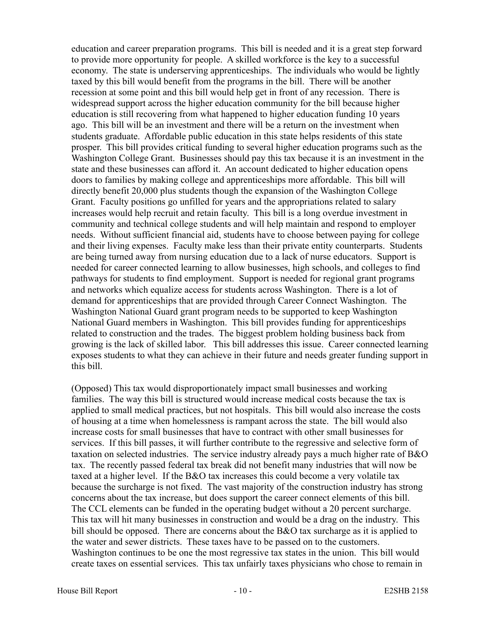education and career preparation programs. This bill is needed and it is a great step forward to provide more opportunity for people. A skilled workforce is the key to a successful economy. The state is underserving apprenticeships. The individuals who would be lightly taxed by this bill would benefit from the programs in the bill. There will be another recession at some point and this bill would help get in front of any recession. There is widespread support across the higher education community for the bill because higher education is still recovering from what happened to higher education funding 10 years ago. This bill will be an investment and there will be a return on the investment when students graduate. Affordable public education in this state helps residents of this state prosper. This bill provides critical funding to several higher education programs such as the Washington College Grant. Businesses should pay this tax because it is an investment in the state and these businesses can afford it. An account dedicated to higher education opens doors to families by making college and apprenticeships more affordable. This bill will directly benefit 20,000 plus students though the expansion of the Washington College Grant. Faculty positions go unfilled for years and the appropriations related to salary increases would help recruit and retain faculty. This bill is a long overdue investment in community and technical college students and will help maintain and respond to employer needs. Without sufficient financial aid, students have to choose between paying for college and their living expenses. Faculty make less than their private entity counterparts. Students are being turned away from nursing education due to a lack of nurse educators. Support is needed for career connected learning to allow businesses, high schools, and colleges to find pathways for students to find employment. Support is needed for regional grant programs and networks which equalize access for students across Washington. There is a lot of demand for apprenticeships that are provided through Career Connect Washington. The Washington National Guard grant program needs to be supported to keep Washington National Guard members in Washington. This bill provides funding for apprenticeships related to construction and the trades. The biggest problem holding business back from growing is the lack of skilled labor. This bill addresses this issue. Career connected learning exposes students to what they can achieve in their future and needs greater funding support in this bill.

(Opposed) This tax would disproportionately impact small businesses and working families. The way this bill is structured would increase medical costs because the tax is applied to small medical practices, but not hospitals. This bill would also increase the costs of housing at a time when homelessness is rampant across the state. The bill would also increase costs for small businesses that have to contract with other small businesses for services. If this bill passes, it will further contribute to the regressive and selective form of taxation on selected industries. The service industry already pays a much higher rate of B&O tax. The recently passed federal tax break did not benefit many industries that will now be taxed at a higher level. If the B&O tax increases this could become a very volatile tax because the surcharge is not fixed. The vast majority of the construction industry has strong concerns about the tax increase, but does support the career connect elements of this bill. The CCL elements can be funded in the operating budget without a 20 percent surcharge. This tax will hit many businesses in construction and would be a drag on the industry. This bill should be opposed. There are concerns about the B&O tax surcharge as it is applied to the water and sewer districts. These taxes have to be passed on to the customers. Washington continues to be one the most regressive tax states in the union. This bill would create taxes on essential services. This tax unfairly taxes physicians who chose to remain in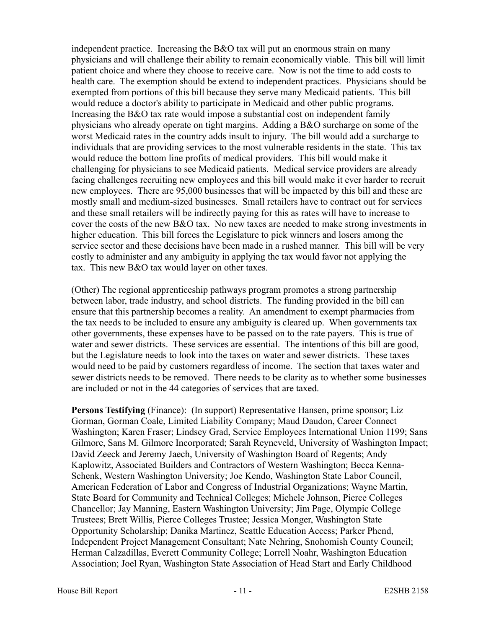independent practice. Increasing the B&O tax will put an enormous strain on many physicians and will challenge their ability to remain economically viable. This bill will limit patient choice and where they choose to receive care. Now is not the time to add costs to health care. The exemption should be extend to independent practices. Physicians should be exempted from portions of this bill because they serve many Medicaid patients. This bill would reduce a doctor's ability to participate in Medicaid and other public programs. Increasing the B&O tax rate would impose a substantial cost on independent family physicians who already operate on tight margins. Adding a B&O surcharge on some of the worst Medicaid rates in the country adds insult to injury. The bill would add a surcharge to individuals that are providing services to the most vulnerable residents in the state. This tax would reduce the bottom line profits of medical providers. This bill would make it challenging for physicians to see Medicaid patients. Medical service providers are already facing challenges recruiting new employees and this bill would make it ever harder to recruit new employees. There are 95,000 businesses that will be impacted by this bill and these are mostly small and medium-sized businesses. Small retailers have to contract out for services and these small retailers will be indirectly paying for this as rates will have to increase to cover the costs of the new B&O tax. No new taxes are needed to make strong investments in higher education. This bill forces the Legislature to pick winners and losers among the service sector and these decisions have been made in a rushed manner. This bill will be very costly to administer and any ambiguity in applying the tax would favor not applying the tax. This new B&O tax would layer on other taxes.

(Other) The regional apprenticeship pathways program promotes a strong partnership between labor, trade industry, and school districts. The funding provided in the bill can ensure that this partnership becomes a reality. An amendment to exempt pharmacies from the tax needs to be included to ensure any ambiguity is cleared up. When governments tax other governments, these expenses have to be passed on to the rate payers. This is true of water and sewer districts. These services are essential. The intentions of this bill are good, but the Legislature needs to look into the taxes on water and sewer districts. These taxes would need to be paid by customers regardless of income. The section that taxes water and sewer districts needs to be removed. There needs to be clarity as to whether some businesses are included or not in the 44 categories of services that are taxed.

**Persons Testifying** (Finance): (In support) Representative Hansen, prime sponsor; Liz Gorman, Gorman Coale, Limited Liability Company; Maud Daudon, Career Connect Washington; Karen Fraser; Lindsey Grad, Service Employees International Union 1199; Sans Gilmore, Sans M. Gilmore Incorporated; Sarah Reyneveld, University of Washington Impact; David Zeeck and Jeremy Jaech, University of Washington Board of Regents; Andy Kaplowitz, Associated Builders and Contractors of Western Washington; Becca Kenna-Schenk, Western Washington University; Joe Kendo, Washington State Labor Council, American Federation of Labor and Congress of Industrial Organizations; Wayne Martin, State Board for Community and Technical Colleges; Michele Johnson, Pierce Colleges Chancellor; Jay Manning, Eastern Washington University; Jim Page, Olympic College Trustees; Brett Willis, Pierce Colleges Trustee; Jessica Monger, Washington State Opportunity Scholarship; Danika Martinez, Seattle Education Access; Parker Phend, Independent Project Management Consultant; Nate Nehring, Snohomish County Council; Herman Calzadillas, Everett Community College; Lorrell Noahr, Washington Education Association; Joel Ryan, Washington State Association of Head Start and Early Childhood